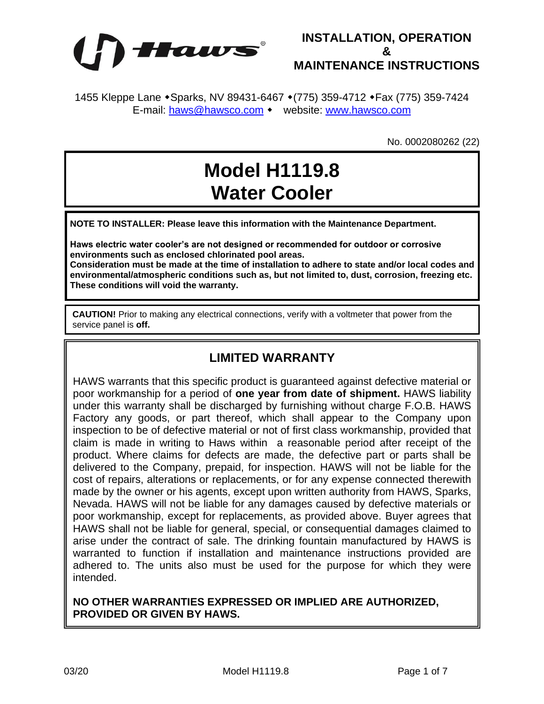



1455 Kleppe Lane • Sparks, NV 89431-6467 • (775) 359-4712 • Fax (775) 359-7424 E-mail: [haws@hawsco.com](mailto:haws@hawsco.com) • website: [www.hawsco.com](http://www.hawsco.com/)

No. 0002080262 (22)

# **Model H1119.8 Water Cooler**

**NOTE TO INSTALLER: Please leave this information with the Maintenance Department.**

**Haws electric water cooler's are not designed or recommended for outdoor or corrosive environments such as enclosed chlorinated pool areas.**

**Consideration must be made at the time of installation to adhere to state and/or local codes and environmental/atmospheric conditions such as, but not limited to, dust, corrosion, freezing etc. These conditions will void the warranty.**

**CAUTION!** Prior to making any electrical connections, verify with a voltmeter that power from the service panel is **off.**

### **LIMITED WARRANTY**

HAWS warrants that this specific product is guaranteed against defective material or poor workmanship for a period of **one year from date of shipment.** HAWS liability under this warranty shall be discharged by furnishing without charge F.O.B. HAWS Factory any goods, or part thereof, which shall appear to the Company upon inspection to be of defective material or not of first class workmanship, provided that claim is made in writing to Haws within a reasonable period after receipt of the product. Where claims for defects are made, the defective part or parts shall be delivered to the Company, prepaid, for inspection. HAWS will not be liable for the cost of repairs, alterations or replacements, or for any expense connected therewith made by the owner or his agents, except upon written authority from HAWS, Sparks, Nevada. HAWS will not be liable for any damages caused by defective materials or poor workmanship, except for replacements, as provided above. Buyer agrees that HAWS shall not be liable for general, special, or consequential damages claimed to arise under the contract of sale. The drinking fountain manufactured by HAWS is warranted to function if installation and maintenance instructions provided are adhered to. The units also must be used for the purpose for which they were intended.

**NO OTHER WARRANTIES EXPRESSED OR IMPLIED ARE AUTHORIZED, PROVIDED OR GIVEN BY HAWS.**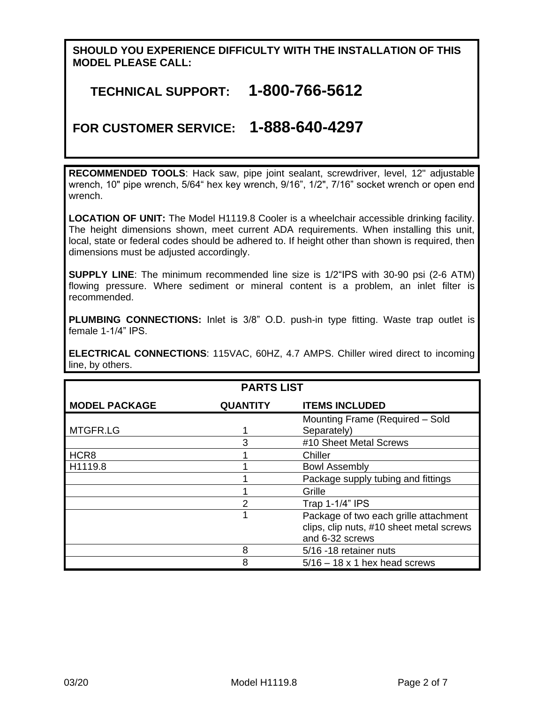### **SHOULD YOU EXPERIENCE DIFFICULTY WITH THE INSTALLATION OF THIS MODEL PLEASE CALL:**

# **TECHNICAL SUPPORT: 1-800-766-5612**

# **FOR CUSTOMER SERVICE: 1-888-640-4297**

**RECOMMENDED TOOLS**: Hack saw, pipe joint sealant, screwdriver, level, 12" adjustable wrench, 10" pipe wrench, 5/64" hex key wrench, 9/16", 1/2", 7/16" socket wrench or open end wrench.

**LOCATION OF UNIT:** The Model H1119.8 Cooler is a wheelchair accessible drinking facility. The height dimensions shown, meet current ADA requirements. When installing this unit, local, state or federal codes should be adhered to. If height other than shown is required, then dimensions must be adjusted accordingly.

**SUPPLY LINE**: The minimum recommended line size is 1/2"IPS with 30-90 psi (2-6 ATM) flowing pressure. Where sediment or mineral content is a problem, an inlet filter is recommended.

**PLUMBING CONNECTIONS:** Inlet is 3/8" O.D. push-in type fitting. Waste trap outlet is female 1-1/4" IPS.

**ELECTRICAL CONNECTIONS**: 115VAC, 60HZ, 4.7 AMPS. Chiller wired direct to incoming line, by others.

| <b>PARTS LIST</b>    |                 |                                                                                                      |  |  |
|----------------------|-----------------|------------------------------------------------------------------------------------------------------|--|--|
| <b>MODEL PACKAGE</b> | <b>QUANTITY</b> | <b>ITEMS INCLUDED</b>                                                                                |  |  |
| MTGFR.LG             | 1               | Mounting Frame (Required - Sold<br>Separately)                                                       |  |  |
|                      | 3               | #10 Sheet Metal Screws                                                                               |  |  |
| HCR <sub>8</sub>     |                 | Chiller                                                                                              |  |  |
| H1119.8              | 4               | <b>Bowl Assembly</b>                                                                                 |  |  |
|                      |                 | Package supply tubing and fittings                                                                   |  |  |
|                      |                 | Grille                                                                                               |  |  |
|                      | 2               | Trap 1-1/4" IPS                                                                                      |  |  |
|                      | 1               | Package of two each grille attachment<br>clips, clip nuts, #10 sheet metal screws<br>and 6-32 screws |  |  |
|                      | 8               | 5/16 -18 retainer nuts                                                                               |  |  |
|                      | 8               | $5/16 - 18 \times 1$ hex head screws                                                                 |  |  |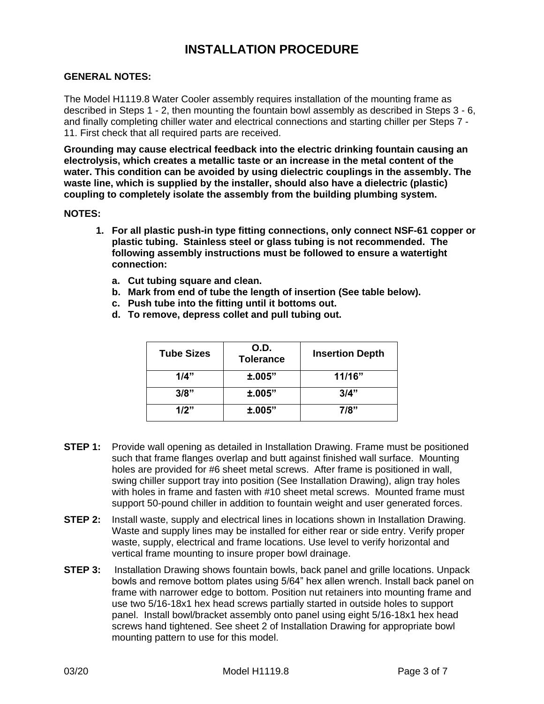# **INSTALLATION PROCEDURE**

#### **GENERAL NOTES:**

The Model H1119.8 Water Cooler assembly requires installation of the mounting frame as described in Steps 1 - 2, then mounting the fountain bowl assembly as described in Steps 3 - 6, and finally completing chiller water and electrical connections and starting chiller per Steps 7 - 11. First check that all required parts are received.

**Grounding may cause electrical feedback into the electric drinking fountain causing an electrolysis, which creates a metallic taste or an increase in the metal content of the water. This condition can be avoided by using dielectric couplings in the assembly. The waste line, which is supplied by the installer, should also have a dielectric (plastic) coupling to completely isolate the assembly from the building plumbing system.**

#### **NOTES:**

- **1. For all plastic push-in type fitting connections, only connect NSF-61 copper or plastic tubing. Stainless steel or glass tubing is not recommended. The following assembly instructions must be followed to ensure a watertight connection:**
	- **a. Cut tubing square and clean.**
	- **b. Mark from end of tube the length of insertion (See table below).**
	- **c. Push tube into the fitting until it bottoms out.**
	- **d. To remove, depress collet and pull tubing out.**

| <b>Tube Sizes</b> | O.D.<br><b>Tolerance</b> | <b>Insertion Depth</b> |
|-------------------|--------------------------|------------------------|
| 1/4"              | ±.005"                   | 11/16"                 |
| 3/8"              | ±.005"                   | 3/4"                   |
| 1/2"              | ±.005"                   | 7/8"                   |

- **STEP 1:** Provide wall opening as detailed in Installation Drawing. Frame must be positioned such that frame flanges overlap and butt against finished wall surface. Mounting holes are provided for #6 sheet metal screws. After frame is positioned in wall, swing chiller support tray into position (See Installation Drawing), align tray holes with holes in frame and fasten with #10 sheet metal screws. Mounted frame must support 50-pound chiller in addition to fountain weight and user generated forces.
- **STEP 2:** Install waste, supply and electrical lines in locations shown in Installation Drawing. Waste and supply lines may be installed for either rear or side entry. Verify proper waste, supply, electrical and frame locations. Use level to verify horizontal and vertical frame mounting to insure proper bowl drainage.
- **STEP 3:** Installation Drawing shows fountain bowls, back panel and grille locations. Unpack bowls and remove bottom plates using 5/64" hex allen wrench. Install back panel on frame with narrower edge to bottom. Position nut retainers into mounting frame and use two 5/16-18x1 hex head screws partially started in outside holes to support panel. Install bowl/bracket assembly onto panel using eight 5/16-18x1 hex head screws hand tightened. See sheet 2 of Installation Drawing for appropriate bowl mounting pattern to use for this model.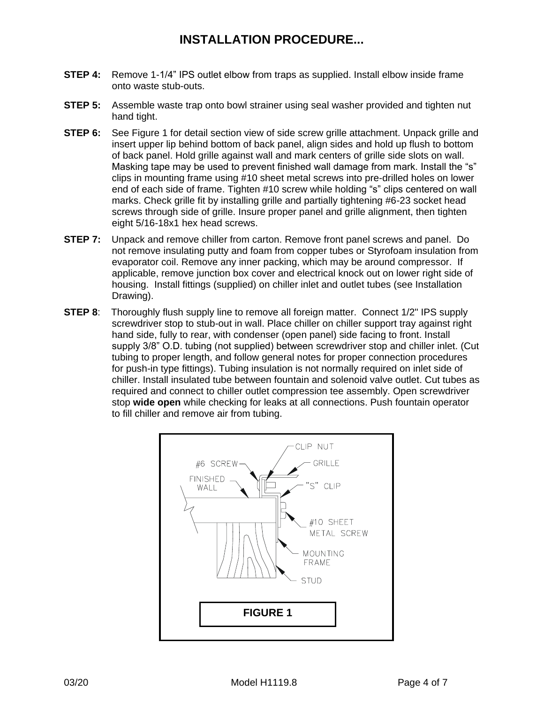# **INSTALLATION PROCEDURE...**

- **STEP 4:** Remove 1-1/4" IPS outlet elbow from traps as supplied. Install elbow inside frame onto waste stub-outs.
- **STEP 5:** Assemble waste trap onto bowl strainer using seal washer provided and tighten nut hand tight.
- **STEP 6:** See Figure 1 for detail section view of side screw grille attachment. Unpack grille and insert upper lip behind bottom of back panel, align sides and hold up flush to bottom of back panel. Hold grille against wall and mark centers of grille side slots on wall. Masking tape may be used to prevent finished wall damage from mark. Install the "s" clips in mounting frame using #10 sheet metal screws into pre-drilled holes on lower end of each side of frame. Tighten #10 screw while holding "s" clips centered on wall marks. Check grille fit by installing grille and partially tightening #6-23 socket head screws through side of grille. Insure proper panel and grille alignment, then tighten eight 5/16-18x1 hex head screws.
- **STEP 7:** Unpack and remove chiller from carton. Remove front panel screws and panel. Do not remove insulating putty and foam from copper tubes or Styrofoam insulation from evaporator coil. Remove any inner packing, which may be around compressor. If applicable, remove junction box cover and electrical knock out on lower right side of housing. Install fittings (supplied) on chiller inlet and outlet tubes (see Installation Drawing).
- **STEP 8**: Thoroughly flush supply line to remove all foreign matter. Connect 1/2" IPS supply screwdriver stop to stub-out in wall. Place chiller on chiller support tray against right hand side, fully to rear, with condenser (open panel) side facing to front. Install supply 3/8" O.D. tubing (not supplied) between screwdriver stop and chiller inlet. (Cut tubing to proper length, and follow general notes for proper connection procedures for push-in type fittings). Tubing insulation is not normally required on inlet side of chiller. Install insulated tube between fountain and solenoid valve outlet. Cut tubes as required and connect to chiller outlet compression tee assembly. Open screwdriver stop **wide open** while checking for leaks at all connections. Push fountain operator to fill chiller and remove air from tubing.

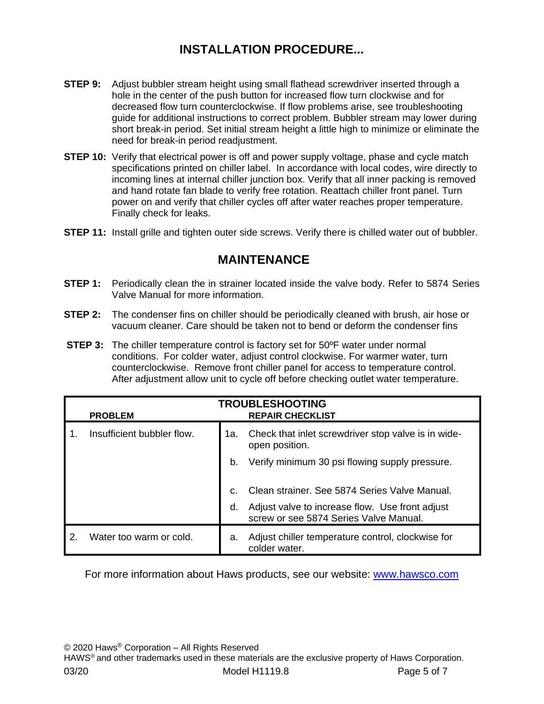# **INSTALLATION PROCEDURE...**

- **STEP 9:** Adjust bubbler stream height using small flathead screwdriver inserted through a hole in the center of the push button for increased flow turn clockwise and for decreased flow turn counterclockwise. If flow problems arise, see troubleshooting guide for additional instructions to correct problem. Bubbler stream may lower during short break-in period. Set initial stream height a little high to minimize or eliminate the need for break-in period readjustment.
- **STEP 10:** Verify that electrical power is off and power supply voltage, phase and cycle match specifications printed on chiller label. In accordance with local codes, wire directly to incoming lines at internal chiller junction box. Verify that all inner packing is removed and hand rotate fan blade to verify free rotation. Reattach chiller front panel. Turn power on and verify that chiller cycles off after water reaches proper temperature. Finally check for leaks.
- **STEP 11:** Install grille and tighten outer side screws. Verify there is chilled water out of bubbler.

## **MAINTENANCE**

- **STEP 1:** Periodically clean the in strainer located inside the valve body. Refer to 5874 Series Valve Manual for more information.
- **STEP 2:** The condenser fins on chiller should be periodically cleaned with brush, air hose or vacuum cleaner. Care should be taken not to bend or deform the condenser fins
- **STEP 3:** The chiller temperature control is factory set for 50ºF water under normal conditions. For colder water, adjust control clockwise. For warmer water, turn counterclockwise. Remove front chiller panel for access to temperature control. After adjustment allow unit to cycle off before checking outlet water temperature.

|    | <b>PROBLEM</b>             |     | <b>TROUBLESHOOTING</b><br><b>REPAIR CHECKLIST</b>                                         |
|----|----------------------------|-----|-------------------------------------------------------------------------------------------|
| 1. | Insufficient bubbler flow. | 1a. | Check that inlet screwdriver stop valve is in wide-<br>open position.                     |
|    |                            | b.  | Verify minimum 30 psi flowing supply pressure.                                            |
|    |                            | C.  | Clean strainer. See 5874 Series Valve Manual.                                             |
|    |                            | d.  | Adjust valve to increase flow. Use front adjust<br>screw or see 5874 Series Valve Manual. |
| 2. | Water too warm or cold.    | а.  | Adjust chiller temperature control, clockwise for<br>colder water.                        |

For more information about Haws products, see our website: [www.hawsco.com](http://www.hawsco.com/)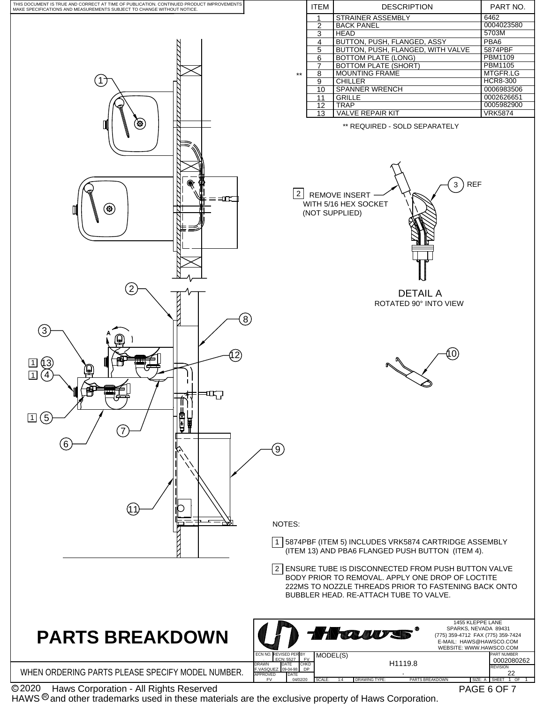

 Haws Corporation - All Rights Reserved C 2020

HAWS  $\textcircled{\tiny 8}$  and other trademarks used in these materials are the exclusive property of Haws Corporation.